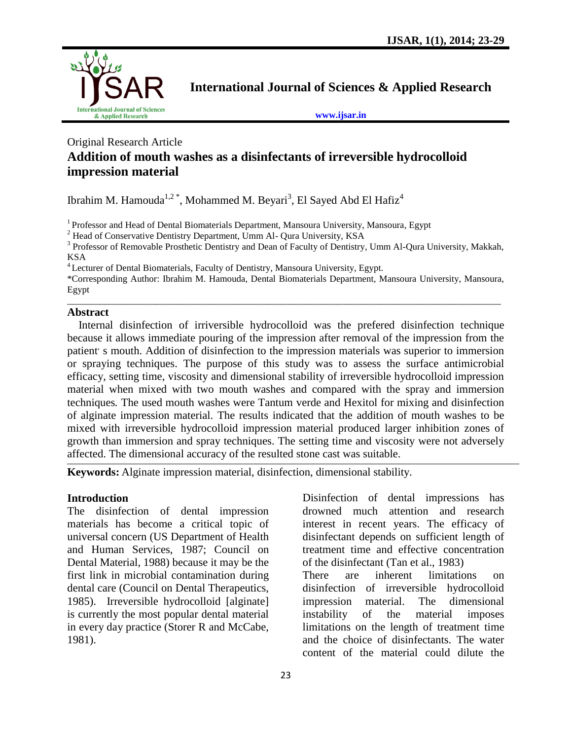

**International Journal of Sciences & Applied Research**

**[www.ijsar.in](http://www.ijsar.in/)**

#### Original Research Article **Addition of mouth washes as a disinfectants of irreversible hydrocolloid impression material**

Ibrahim M. Hamouda $^{1,2}$ \*, Mohammed M. Beyari $^3$ , El Sayed Abd El Hafiz $^4$ 

<sup>1</sup>Professor and Head of Dental Biomaterials Department, Mansoura University, Mansoura, Egypt

<sup>2</sup> Head of Conservative Dentistry Department, Umm Al- Qura University, KSA

<sup>3</sup> Professor of Removable Prosthetic Dentistry and Dean of Faculty of Dentistry, Umm Al-Qura University, Makkah, KSA

<sup>4</sup> Lecturer of Dental Biomaterials, Faculty of Dentistry, Mansoura University, Egypt.

\*Corresponding Author: Ibrahim M. Hamouda, Dental Biomaterials Department, Mansoura University, Mansoura, Egypt  $\_$  ,  $\_$  ,  $\_$  ,  $\_$  ,  $\_$  ,  $\_$  ,  $\_$  ,  $\_$  ,  $\_$  ,  $\_$  ,  $\_$  ,  $\_$  ,  $\_$  ,  $\_$  ,  $\_$  ,  $\_$  ,  $\_$  ,  $\_$  ,  $\_$  ,  $\_$  ,  $\_$  ,  $\_$  ,  $\_$  ,  $\_$  ,  $\_$  ,  $\_$  ,  $\_$  ,  $\_$  ,  $\_$  ,  $\_$  ,  $\_$  ,  $\_$  ,  $\_$  ,  $\_$  ,  $\_$  ,  $\_$  ,  $\_$  ,

#### **Abstract**

 Internal disinfection of irriversible hydrocolloid was the prefered disinfection technique because it allows immediate pouring of the impression after removal of the impression from the patient's mouth. Addition of disinfection to the impression materials was superior to immersion or spraying techniques. The purpose of this study was to assess the surface antimicrobial efficacy, setting time, viscosity and dimensional stability of irreversible hydrocolloid impression material when mixed with two mouth washes and compared with the spray and immersion techniques*.* The used mouth washes were Tantum verde and Hexitol for mixing and disinfection of alginate impression material. The results indicated that the addition of mouth washes to be mixed with irreversible hydrocolloid impression material produced larger inhibition zones of growth than immersion and spray techniques. The setting time and viscosity were not adversely affected. The dimensional accuracy of the resulted stone cast was suitable.

**Keywords:** Alginate impression material, disinfection, dimensional stability.

#### **Introduction**

The disinfection of dental impression materials has become a critical topic of universal concern (US Department of Health and Human Services, 1987; Council on Dental Material, 1988) because it may be the first link in microbial contamination during dental care (Council on Dental Therapeutics, 1985). Irreversible hydrocolloid [alginate] is currently the most popular dental material in every day practice (Storer R and McCabe, 1981).

Disinfection of dental impressions has drowned much attention and research interest in recent years. The efficacy of disinfectant depends on sufficient length of treatment time and effective concentration of the disinfectant (Tan et al., 1983) There are inherent limitations on disinfection of irreversible hydrocolloid impression material. The dimensional instability of the material imposes limitations on the length of treatment time

and the choice of disinfectants. The water content of the material could dilute the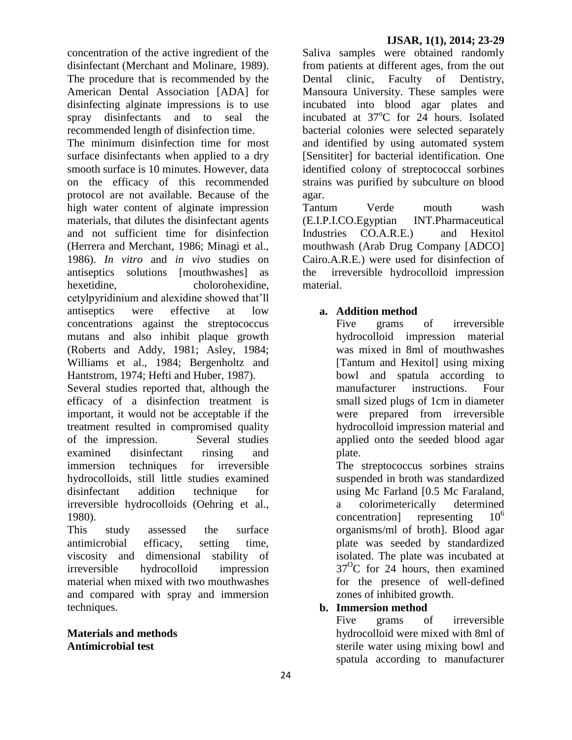concentration of the active ingredient of the disinfectant (Merchant and Molinare, 1989). The procedure that is recommended by the American Dental Association [ADA] for disinfecting alginate impressions is to use spray disinfectants and to seal the recommended length of disinfection time.

The minimum disinfection time for most surface disinfectants when applied to a dry smooth surface is 10 minutes. However, data on the efficacy of this recommended protocol are not available. Because of the high water content of alginate impression materials, that dilutes the disinfectant agents and not sufficient time for disinfection (Herrera and Merchant, 1986; Minagi et al., 1986). *In vitro* and *in vivo* studies on antiseptics solutions [mouthwashes] as hexetidine, cholorohexidine, cetylpyridinium and alexidine showed that'll antiseptics were effective at low concentrations against the streptococcus mutans and also inhibit plaque growth (Roberts and Addy, 1981; Asley, 1984; Williams et al., 1984; Bergenholtz and Hantstrom, 1974; Hefti and Huber, 1987).

Several studies reported that, although the efficacy of a disinfection treatment is important, it would not be acceptable if the treatment resulted in compromised quality of the impression. Several studies examined disinfectant rinsing and immersion techniques for irreversible hydrocolloids, still little studies examined disinfectant addition technique for irreversible hydrocolloids (Oehring et al., 1980).

This study assessed the surface antimicrobial efficacy, setting time, viscosity and dimensional stability of irreversible hydrocolloid impression material when mixed with two mouthwashes and compared with spray and immersion techniques.

#### **Materials and methods Antimicrobial test**

Saliva samples were obtained randomly from patients at different ages, from the out Dental clinic, Faculty of Dentistry, Mansoura University. These samples were incubated into blood agar plates and incubated at  $37^{\circ}$ C for 24 hours. Isolated bacterial colonies were selected separately and identified by using automated system [Sensititer] for bacterial identification. One identified colony of streptococcal sorbines strains was purified by subculture on blood agar.

Tantum Verde mouth wash (E.I.P.I.CO.Egyptian INT.Pharmaceutical Industries CO.A.R.E.) and Hexitol mouthwash (Arab Drug Company [ADCO] Cairo.A.R.E.) were used for disinfection of the irreversible hydrocolloid impression material.

# **a. Addition method**

Five grams of irreversible hydrocolloid impression material was mixed in 8ml of mouthwashes [Tantum and Hexitol] using mixing bowl and spatula according to manufacturer instructions. Four small sized plugs of 1cm in diameter were prepared from irreversible hydrocolloid impression material and applied onto the seeded blood agar plate.

The streptococcus sorbines strains suspended in broth was standardized using Mc Farland [0.5 Mc Faraland, a colorimeterically determined concentration representing  $10<sup>6</sup>$ organisms/ml of broth]. Blood agar plate was seeded by standardized isolated. The plate was incubated at  $37^{\circ}$ C for 24 hours, then examined for the presence of well-defined zones of inhibited growth.

# **b. Immersion method**

Five grams of irreversible hydrocolloid were mixed with 8ml of sterile water using mixing bowl and spatula according to manufacturer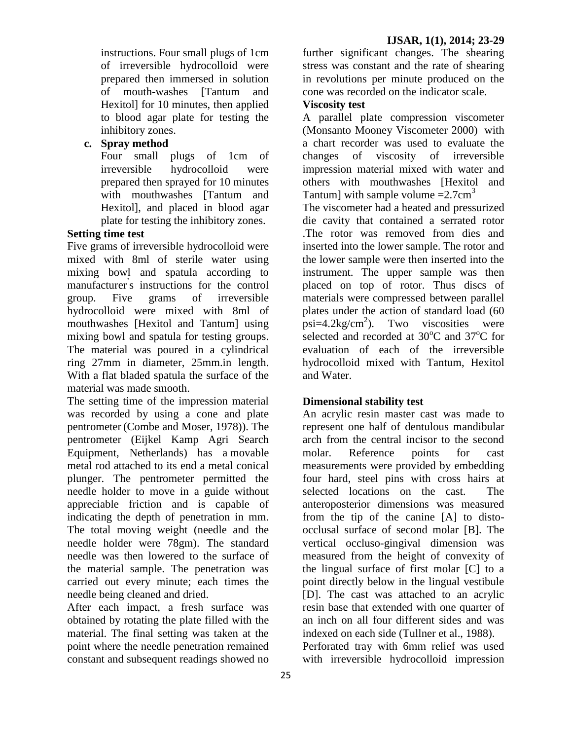instructions. Four small plugs of 1cm of irreversible hydrocolloid were prepared then immersed in solution of mouth-washes [Tantum and Hexitol] for 10 minutes, then applied to blood agar plate for testing the inhibitory zones.

# **c. Spray method**

Four small plugs of 1cm of irreversible hydrocolloid were prepared then sprayed for 10 minutes with mouthwashes [Tantum and Hexitol], and placed in blood agar plate for testing the inhibitory zones.

# **Setting time test**

Five grams of irreversible hydrocolloid were mixed with 8ml of sterile water using mixing bowl and spatula according to manufacturer' s instructions for the control group. Five grams of irreversible hydrocolloid were mixed with 8ml of mouthwashes [Hexitol and Tantum] using mixing bowl and spatula for testing groups. The material was poured in a cylindrical ring 27mm in diameter, 25mm.in length. With a flat bladed spatula the surface of the material was made smooth.

The setting time of the impression material was recorded by using a cone and plate pentrometer (Combe and Moser, 1978)). The pentrometer (Eijkel Kamp Agri Search Equipment, Netherlands) has a movable metal rod attached to its end a metal conical plunger. The pentrometer permitted the needle holder to move in a guide without appreciable friction and is capable of indicating the depth of penetration in mm. The total moving weight (needle and the needle holder were 78gm). The standard needle was then lowered to the surface of the material sample. The penetration was carried out every minute; each times the needle being cleaned and dried.

After each impact, a fresh surface was obtained by rotating the plate filled with the material. The final setting was taken at the point where the needle penetration remained constant and subsequent readings showed no

further significant changes. The shearing stress was constant and the rate of shearing in revolutions per minute produced on the cone was recorded on the indicator scale.

# **Viscosity test**

A parallel plate compression viscometer (Monsanto Mooney Viscometer 2000) with a chart recorder was used to evaluate the changes of viscosity of irreversible impression material mixed with water and others with mouthwashes [Hexitol and Tantum] with sample volume  $=2.7 \text{cm}^3$ 

The viscometer had a heated and pressurized die cavity that contained a serrated rotor .The rotor was removed from dies and inserted into the lower sample. The rotor and the lower sample were then inserted into the instrument. The upper sample was then placed on top of rotor. Thus discs of materials were compressed between parallel plates under the action of standard load (60  $psi=4.2kg/cm^2$ ). ). Two viscosities were selected and recorded at  $30^{\circ}$ C and  $37^{\circ}$ C for evaluation of each of the irreversible hydrocolloid mixed with Tantum, Hexitol and Water.

#### **Dimensional stability test**

An acrylic resin master cast was made to represent one half of dentulous mandibular arch from the central incisor to the second molar. Reference points for cast measurements were provided by embedding four hard, steel pins with cross hairs at selected locations on the cast. The anteroposterior dimensions was measured from the tip of the canine [A] to distoocclusal surface of second molar [B]. The vertical occluso-gingival dimension was measured from the height of convexity of the lingual surface of first molar [C] to a point directly below in the lingual vestibule [D]. The cast was attached to an acrylic resin base that extended with one quarter of an inch on all four different sides and was indexed on each side (Tullner et al., 1988). Perforated tray with 6mm relief was used with irreversible hydrocolloid impression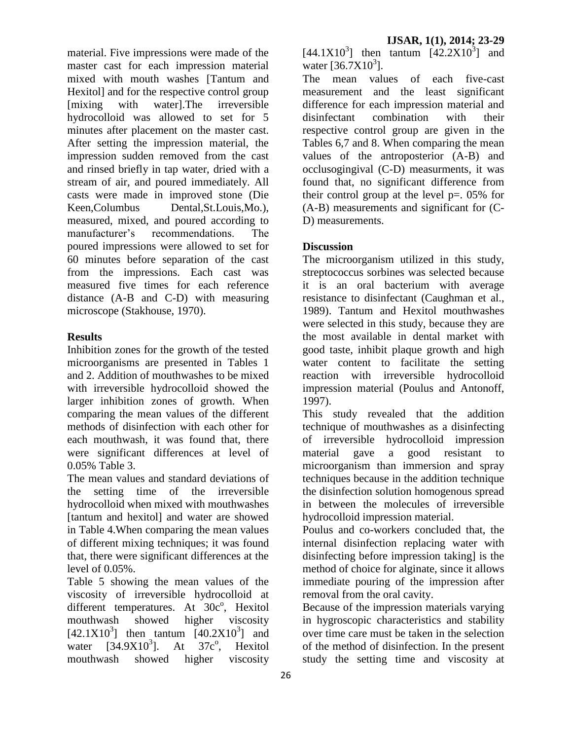material. Five impressions were made of the master cast for each impression material mixed with mouth washes [Tantum and Hexitol] and for the respective control group [mixing with water].The irreversible hydrocolloid was allowed to set for 5 minutes after placement on the master cast. After setting the impression material, the impression sudden removed from the cast and rinsed briefly in tap water, dried with a stream of air, and poured immediately. All casts were made in improved stone (Die Keen,Columbus Dental, St. Louis, Mo.), measured, mixed, and poured according to manufacturer's recommendations. The poured impressions were allowed to set for 60 minutes before separation of the cast from the impressions. Each cast was measured five times for each reference distance (A-B and C-D) with measuring microscope (Stakhouse, 1970).

# **Results**

Inhibition zones for the growth of the tested microorganisms are presented in Tables 1 and 2. Addition of mouthwashes to be mixed with irreversible hydrocolloid showed the larger inhibition zones of growth. When comparing the mean values of the different methods of disinfection with each other for each mouthwash, it was found that, there were significant differences at level of 0.05% Table 3.

The mean values and standard deviations of the setting time of the irreversible hydrocolloid when mixed with mouthwashes [tantum and hexitol] and water are showed in Table 4.When comparing the mean values of different mixing techniques; it was found that, there were significant differences at the level of 0.05%.

Table 5 showing the mean values of the viscosity of irreversible hydrocolloid at different temperatures. At 30c°, Hexitol mouthwash showed higher viscosity  $[42.1X10<sup>3</sup>]$  then tantum  $[40.2X10<sup>3</sup>]$  and water  $[34.9X10^3]$ . At  $37c^{\circ}$ , , Hexitol mouthwash showed higher viscosity

 $[44.1X10^3]$  then tantum  $[42.2X10^3]$  and water  $[36.7X10^{3}]$ .

The mean values of each five-cast measurement and the least significant difference for each impression material and disinfectant combination with their respective control group are given in the Tables 6,7 and 8. When comparing the mean values of the antroposterior (A-B) and occlusogingival (C-D) measurments, it was found that, no significant difference from their control group at the level  $p=$ . 05% for (A-B) measurements and significant for (C-D) measurements.

# **Discussion**

The microorganism utilized in this study, streptococcus sorbines was selected because it is an oral bacterium with average resistance to disinfectant (Caughman et al., 1989). Tantum and Hexitol mouthwashes were selected in this study, because they are the most available in dental market with good taste, inhibit plaque growth and high water content to facilitate the setting reaction with irreversible hydrocolloid impression material (Poulus and Antonoff, 1997).

This study revealed that the addition technique of mouthwashes as a disinfecting of irreversible hydrocolloid impression material gave a good resistant to microorganism than immersion and spray techniques because in the addition technique the disinfection solution homogenous spread in between the molecules of irreversible hydrocolloid impression material.

Poulus and co-workers concluded that, the internal disinfection replacing water with disinfecting before impression taking] is the method of choice for alginate, since it allows immediate pouring of the impression after removal from the oral cavity.

Because of the impression materials varying in hygroscopic characteristics and stability over time care must be taken in the selection of the method of disinfection. In the present study the setting time and viscosity at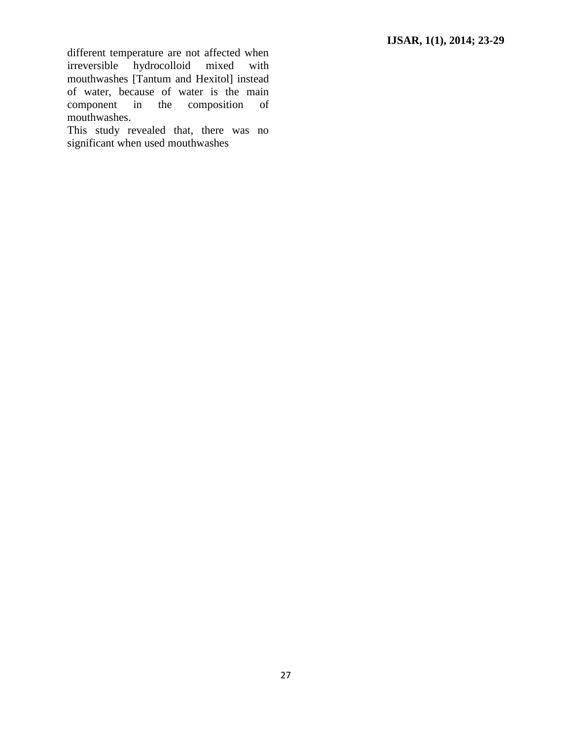different temperature are not affected when irreversible hydrocolloid mixed with mouthwashes [Tantum and Hexitol] instead of water, because of water is the main component in the composition of mouthwashes.

This study revealed that, there was no significant when used mouthwashes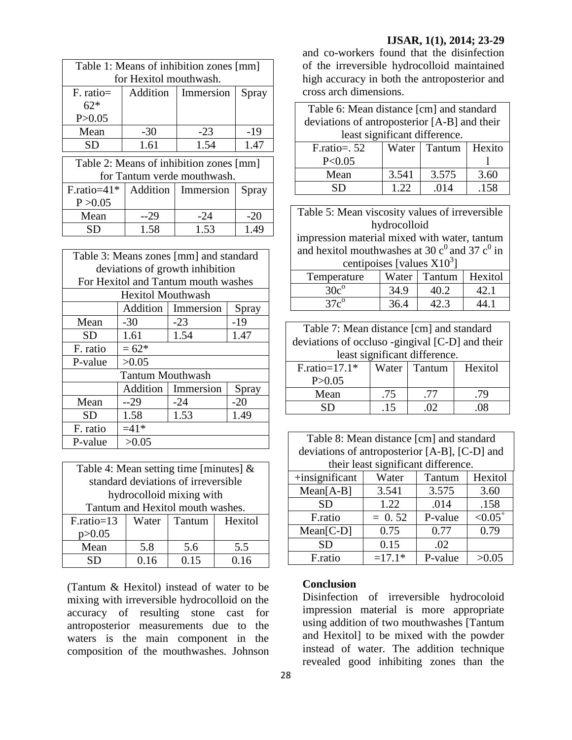#### **IJSAR, 1(1), 2014; 23-29**

| Table 1: Means of inhibition zones [mm] |          |                             |       |
|-----------------------------------------|----------|-----------------------------|-------|
| for Hexitol mouthwash.                  |          |                             |       |
| $F.$ ratio $=$                          | Addition | Immersion                   | Spray |
| $62*$                                   |          |                             |       |
| P > 0.05                                |          |                             |       |
| Mean                                    | $-30$    | $-23$                       | -19   |
| <b>SD</b>                               | 1.61     | 1.54                        | 1.47  |
| Table 2: Means of inhibition zones [mm] |          |                             |       |
|                                         |          |                             |       |
|                                         |          | for Tantum verde mouthwash. |       |
| $F.\text{ratio}=41*$                    |          | Addition   Immersion        | Spray |
| P > 0.05                                |          |                             |       |
| Mean                                    | $-29$    | -24                         | $-20$ |
| SD                                      | 1.58     | 1.53                        | 1.49  |

| Table 3: Means zones [mm] and standard |                                     |           |       |  |  |
|----------------------------------------|-------------------------------------|-----------|-------|--|--|
|                                        | deviations of growth inhibition     |           |       |  |  |
|                                        | For Hexitol and Tantum mouth washes |           |       |  |  |
|                                        | <b>Hexitol Mouthwash</b>            |           |       |  |  |
|                                        | Addition<br>Immersion<br>Spray      |           |       |  |  |
| Mean                                   | $-30$                               | $-23$     | $-19$ |  |  |
| SD                                     | 1.61                                | 1.54      | 1.47  |  |  |
| F. ratio                               | $= 62*$                             |           |       |  |  |
| P-value                                | >0.05                               |           |       |  |  |
| <b>Tantum Mouthwash</b>                |                                     |           |       |  |  |
|                                        | Addition                            | Immersion | Spray |  |  |
| Mean                                   | --29                                | $-24$     | $-20$ |  |  |
| SD                                     | 1.58                                | 1.53      | 1.49  |  |  |
| F. ratio                               | $=41*$                              |           |       |  |  |
| P-value                                | >0.05                               |           |       |  |  |

| Table 4: Mean setting time [minutes] $\&$ |
|-------------------------------------------|
| standard deviations of irreversible       |
| hydrocolloid mixing with                  |
| Tantum and Hexitol mouth washes.          |

| $F.\text{ratio}=13$ | Water | Tantum | Hexitol |
|---------------------|-------|--------|---------|
| p > 0.05            |       |        |         |
| Mean                | 5.8   | 5.6    | 5.5     |
| ŃП.                 | 0.16  | 0.15   | በ 16    |

(Tantum & Hexitol) instead of water to be mixing with irreversible hydrocolloid on the accuracy of resulting stone cast for antroposterior measurements due to the waters is the main component in the composition of the mouthwashes. Johnson

and co-workers found that the disinfection of the irreversible hydrocolloid maintained high accuracy in both the antroposterior and cross arch dimensions.

| Table 6: Mean distance [cm] and standard     |       |        |        |  |
|----------------------------------------------|-------|--------|--------|--|
| deviations of antroposterior [A-B] and their |       |        |        |  |
| least significant difference.                |       |        |        |  |
| $F.\text{ratio} = .52$                       | Water | Tantum | Hexito |  |
| P < 0.05                                     |       |        |        |  |
| Mean                                         | 3.541 | 3.575  | 3.60   |  |
| SD                                           | 1.22  | .014   | .158   |  |
|                                              |       |        |        |  |

| Table 5: Mean viscosity values of irreversible      |                            |      |      |  |  |
|-----------------------------------------------------|----------------------------|------|------|--|--|
| hydrocolloid                                        |                            |      |      |  |  |
| impression material mixed with water, tantum        |                            |      |      |  |  |
| and hexitol mouthwashes at 30 $c^0$ and 37 $c^0$ in |                            |      |      |  |  |
| centipoises [values $X103$ ]                        |                            |      |      |  |  |
| Temperature                                         | Hexitol<br>Water<br>Tantum |      |      |  |  |
| $30c^{\circ}$                                       | 34.9                       | 40.2 | 42.1 |  |  |
| $37c^{\circ}$                                       | 36.4                       | 42.3 | 44.1 |  |  |
|                                                     |                            |      |      |  |  |
| Table 7: Mean distance [cm] and standard            |                            |      |      |  |  |

| deviations of occluso -gingival [C-D] and their |     |                          |    |  |
|-------------------------------------------------|-----|--------------------------|----|--|
| least significant difference.                   |     |                          |    |  |
| $F.\text{ratio}=17.1*$                          |     | Water   Tantum   Hexitol |    |  |
| P > 0.05                                        |     |                          |    |  |
| Mean                                            | .75 | -77                      | 79 |  |
| SD                                              | .15 | $\Omega$                 | 08 |  |

| Table 8: Mean distance [cm] and standard      |
|-----------------------------------------------|
| deviations of antroposterior [A-B], [C-D] and |
| their least significant difference.           |

| then reast significant universities. |          |         |                       |  |
|--------------------------------------|----------|---------|-----------------------|--|
| +insignificant                       | Water    | Tantum  | Hexitol               |  |
| $Mean[A-B]$                          | 3.541    | 3.575   | 3.60                  |  |
| <b>SD</b>                            | 1.22     | .014    | .158                  |  |
| F.ratio                              | $= 0.52$ | P-value | $< 0.05$ <sup>+</sup> |  |
| $Mean[C-D]$                          | 0.75     | 0.77    | 0.79                  |  |
| <b>SD</b>                            | 0.15     | .02     |                       |  |
| F.ratio                              | $=17.1*$ | P-value | >0.05                 |  |

#### **Conclusion**

Disinfection of irreversible hydrocoloid impression material is more appropriate using addition of two mouthwashes [Tantum and Hexitol] to be mixed with the powder instead of water. The addition technique revealed good inhibiting zones than the